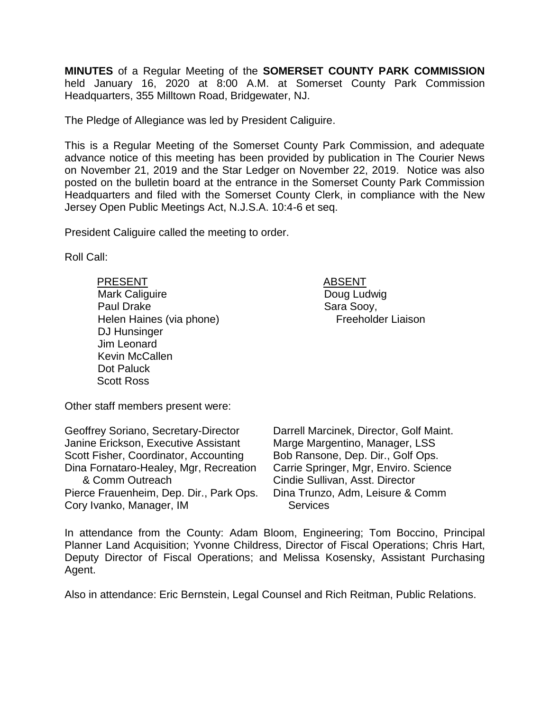**MINUTES** of a Regular Meeting of the **SOMERSET COUNTY PARK COMMISSION** held January 16, 2020 at 8:00 A.M. at Somerset County Park Commission Headquarters, 355 Milltown Road, Bridgewater, NJ.

The Pledge of Allegiance was led by President Caliguire.

This is a Regular Meeting of the Somerset County Park Commission, and adequate advance notice of this meeting has been provided by publication in The Courier News on November 21, 2019 and the Star Ledger on November 22, 2019. Notice was also posted on the bulletin board at the entrance in the Somerset County Park Commission Headquarters and filed with the Somerset County Clerk, in compliance with the New Jersey Open Public Meetings Act, N.J.S.A. 10:4-6 et seq.

President Caliguire called the meeting to order.

Roll Call:

PRESENT ABSENT Mark Caliguire Paul Drake Helen Haines (via phone) DJ Hunsinger Jim Leonard Kevin McCallen Dot Paluck Scott Ross

Doug Ludwig Sara Sooy, Freeholder Liaison

Other staff members present were:

Geoffrey Soriano, Secretary-Director Janine Erickson, Executive Assistant Scott Fisher, Coordinator, Accounting Dina Fornataro-Healey, Mgr, Recreation & Comm Outreach Pierce Frauenheim, Dep. Dir., Park Ops. Cory Ivanko, Manager, IM

Darrell Marcinek, Director, Golf Maint. Marge Margentino, Manager, LSS Bob Ransone, Dep. Dir., Golf Ops. Carrie Springer, Mgr, Enviro. Science Cindie Sullivan, Asst. Director Dina Trunzo, Adm, Leisure & Comm **Services** 

In attendance from the County: Adam Bloom, Engineering; Tom Boccino, Principal Planner Land Acquisition; Yvonne Childress, Director of Fiscal Operations; Chris Hart, Deputy Director of Fiscal Operations; and Melissa Kosensky, Assistant Purchasing Agent.

Also in attendance: Eric Bernstein, Legal Counsel and Rich Reitman, Public Relations.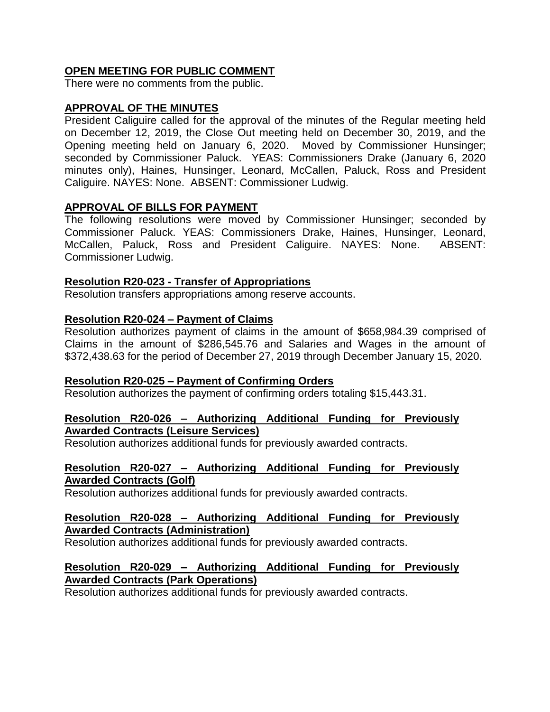## **OPEN MEETING FOR PUBLIC COMMENT**

There were no comments from the public.

## **APPROVAL OF THE MINUTES**

President Caliguire called for the approval of the minutes of the Regular meeting held on December 12, 2019, the Close Out meeting held on December 30, 2019, and the Opening meeting held on January 6, 2020. Moved by Commissioner Hunsinger; seconded by Commissioner Paluck. YEAS: Commissioners Drake (January 6, 2020 minutes only), Haines, Hunsinger, Leonard, McCallen, Paluck, Ross and President Caliguire. NAYES: None. ABSENT: Commissioner Ludwig.

### **APPROVAL OF BILLS FOR PAYMENT**

The following resolutions were moved by Commissioner Hunsinger; seconded by Commissioner Paluck. YEAS: Commissioners Drake, Haines, Hunsinger, Leonard, McCallen, Paluck, Ross and President Caliguire. NAYES: None. ABSENT: Commissioner Ludwig.

### **Resolution R20-023 - Transfer of Appropriations**

Resolution transfers appropriations among reserve accounts.

### **Resolution R20-024 – Payment of Claims**

Resolution authorizes payment of claims in the amount of \$658,984.39 comprised of Claims in the amount of \$286,545.76 and Salaries and Wages in the amount of \$372,438.63 for the period of December 27, 2019 through December January 15, 2020.

### **Resolution R20-025 – Payment of Confirming Orders**

Resolution authorizes the payment of confirming orders totaling \$15,443.31.

### **Resolution R20-026 – Authorizing Additional Funding for Previously Awarded Contracts (Leisure Services)**

Resolution authorizes additional funds for previously awarded contracts.

### **Resolution R20-027 – Authorizing Additional Funding for Previously Awarded Contracts (Golf)**

Resolution authorizes additional funds for previously awarded contracts.

## **Resolution R20-028 – Authorizing Additional Funding for Previously Awarded Contracts (Administration)**

Resolution authorizes additional funds for previously awarded contracts.

### **Resolution R20-029 – Authorizing Additional Funding for Previously Awarded Contracts (Park Operations)**

Resolution authorizes additional funds for previously awarded contracts.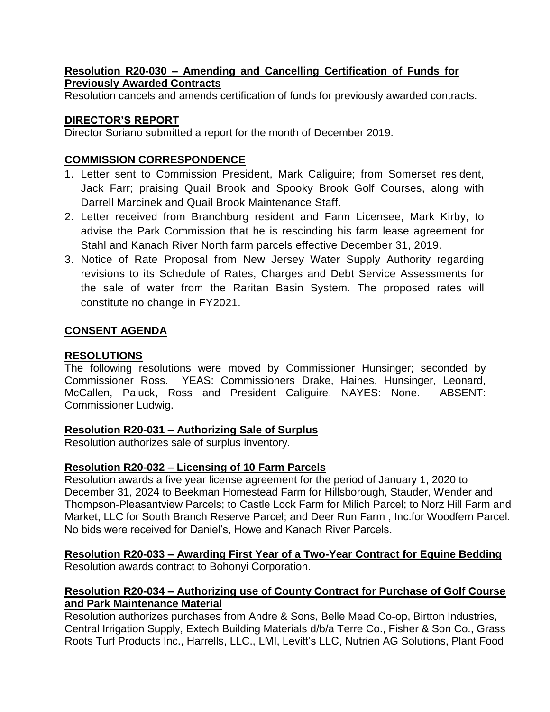## **Resolution R20-030 – Amending and Cancelling Certification of Funds for Previously Awarded Contracts**

Resolution cancels and amends certification of funds for previously awarded contracts.

# **DIRECTOR'S REPORT**

Director Soriano submitted a report for the month of December 2019.

# **COMMISSION CORRESPONDENCE**

- 1. Letter sent to Commission President, Mark Caliguire; from Somerset resident, Jack Farr; praising Quail Brook and Spooky Brook Golf Courses, along with Darrell Marcinek and Quail Brook Maintenance Staff.
- 2. Letter received from Branchburg resident and Farm Licensee, Mark Kirby, to advise the Park Commission that he is rescinding his farm lease agreement for Stahl and Kanach River North farm parcels effective December 31, 2019.
- 3. Notice of Rate Proposal from New Jersey Water Supply Authority regarding revisions to its Schedule of Rates, Charges and Debt Service Assessments for the sale of water from the Raritan Basin System. The proposed rates will constitute no change in FY2021.

# **CONSENT AGENDA**

# **RESOLUTIONS**

The following resolutions were moved by Commissioner Hunsinger; seconded by Commissioner Ross. YEAS: Commissioners Drake, Haines, Hunsinger, Leonard, McCallen, Paluck, Ross and President Caliguire. NAYES: None. ABSENT: Commissioner Ludwig.

# **Resolution R20-031 – Authorizing Sale of Surplus**

Resolution authorizes sale of surplus inventory.

# **Resolution R20-032 – Licensing of 10 Farm Parcels**

Resolution awards a five year license agreement for the period of January 1, 2020 to December 31, 2024 to Beekman Homestead Farm for Hillsborough, Stauder, Wender and Thompson-Pleasantview Parcels; to Castle Lock Farm for Milich Parcel; to Norz Hill Farm and Market, LLC for South Branch Reserve Parcel; and Deer Run Farm , Inc.for Woodfern Parcel. No bids were received for Daniel's, Howe and Kanach River Parcels.

# **Resolution R20-033 – Awarding First Year of a Two-Year Contract for Equine Bedding**

Resolution awards contract to Bohonyi Corporation.

# **Resolution R20-034 – Authorizing use of County Contract for Purchase of Golf Course and Park Maintenance Material**

Resolution authorizes purchases from Andre & Sons, Belle Mead Co-op, Birtton Industries, Central Irrigation Supply, Extech Building Materials d/b/a Terre Co., Fisher & Son Co., Grass Roots Turf Products Inc., Harrells, LLC., LMI, Levitt's LLC, Nutrien AG Solutions, Plant Food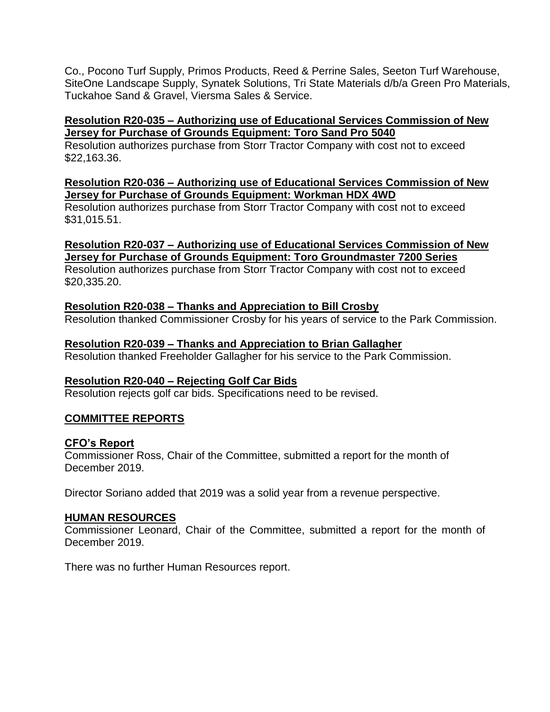Co., Pocono Turf Supply, Primos Products, Reed & Perrine Sales, Seeton Turf Warehouse, SiteOne Landscape Supply, Synatek Solutions, Tri State Materials d/b/a Green Pro Materials, Tuckahoe Sand & Gravel, Viersma Sales & Service.

## **Resolution R20-035 – Authorizing use of Educational Services Commission of New Jersey for Purchase of Grounds Equipment: Toro Sand Pro 5040**

Resolution authorizes purchase from Storr Tractor Company with cost not to exceed \$22,163.36.

## **Resolution R20-036 – Authorizing use of Educational Services Commission of New Jersey for Purchase of Grounds Equipment: Workman HDX 4WD**

Resolution authorizes purchase from Storr Tractor Company with cost not to exceed \$31,015.51.

# **Resolution R20-037 – Authorizing use of Educational Services Commission of New Jersey for Purchase of Grounds Equipment: Toro Groundmaster 7200 Series**

Resolution authorizes purchase from Storr Tractor Company with cost not to exceed \$20,335.20.

# **Resolution R20-038 – Thanks and Appreciation to Bill Crosby**

Resolution thanked Commissioner Crosby for his years of service to the Park Commission.

# **Resolution R20-039 – Thanks and Appreciation to Brian Gallagher**

Resolution thanked Freeholder Gallagher for his service to the Park Commission.

# **Resolution R20-040 – Rejecting Golf Car Bids**

Resolution rejects golf car bids. Specifications need to be revised.

# **COMMITTEE REPORTS**

# **CFO's Report**

Commissioner Ross, Chair of the Committee, submitted a report for the month of December 2019.

Director Soriano added that 2019 was a solid year from a revenue perspective.

## **HUMAN RESOURCES**

Commissioner Leonard, Chair of the Committee, submitted a report for the month of December 2019.

There was no further Human Resources report.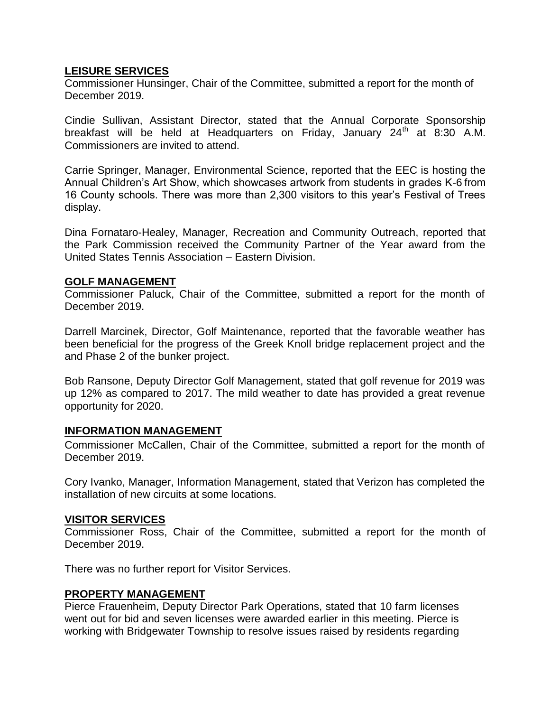### **LEISURE SERVICES**

Commissioner Hunsinger, Chair of the Committee, submitted a report for the month of December 2019.

Cindie Sullivan, Assistant Director, stated that the Annual Corporate Sponsorship breakfast will be held at Headquarters on Friday, January  $24<sup>th</sup>$  at 8:30 A.M. Commissioners are invited to attend.

Carrie Springer, Manager, Environmental Science, reported that the EEC is hosting the Annual Children's Art Show, which showcases artwork from students in grades K-6 from 16 County schools. There was more than 2,300 visitors to this year's Festival of Trees display.

Dina Fornataro-Healey, Manager, Recreation and Community Outreach, reported that the Park Commission received the Community Partner of the Year award from the United States Tennis Association – Eastern Division.

### **GOLF MANAGEMENT**

Commissioner Paluck, Chair of the Committee, submitted a report for the month of December 2019.

Darrell Marcinek, Director, Golf Maintenance, reported that the favorable weather has been beneficial for the progress of the Greek Knoll bridge replacement project and the and Phase 2 of the bunker project.

Bob Ransone, Deputy Director Golf Management, stated that golf revenue for 2019 was up 12% as compared to 2017. The mild weather to date has provided a great revenue opportunity for 2020.

### **INFORMATION MANAGEMENT**

Commissioner McCallen, Chair of the Committee, submitted a report for the month of December 2019.

Cory Ivanko, Manager, Information Management, stated that Verizon has completed the installation of new circuits at some locations.

### **VISITOR SERVICES**

Commissioner Ross, Chair of the Committee, submitted a report for the month of December 2019.

There was no further report for Visitor Services.

## **PROPERTY MANAGEMENT**

Pierce Frauenheim, Deputy Director Park Operations, stated that 10 farm licenses went out for bid and seven licenses were awarded earlier in this meeting. Pierce is working with Bridgewater Township to resolve issues raised by residents regarding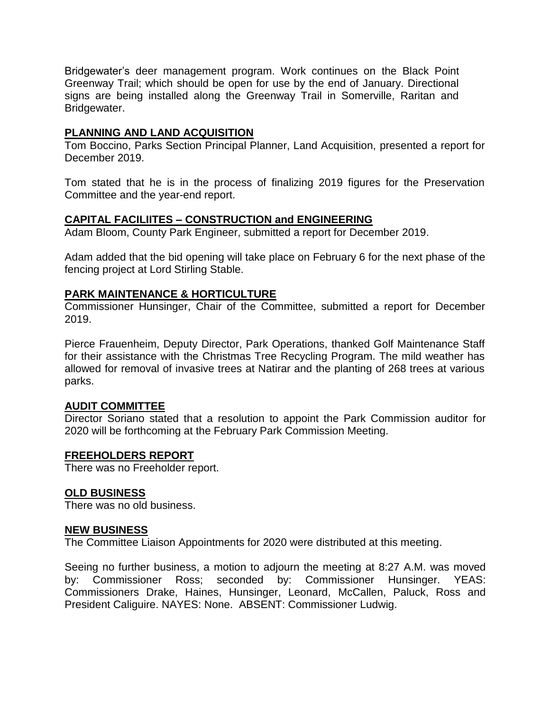Bridgewater's deer management program. Work continues on the Black Point Greenway Trail; which should be open for use by the end of January. Directional signs are being installed along the Greenway Trail in Somerville, Raritan and Bridgewater.

### **PLANNING AND LAND ACQUISITION**

Tom Boccino, Parks Section Principal Planner, Land Acquisition, presented a report for December 2019.

Tom stated that he is in the process of finalizing 2019 figures for the Preservation Committee and the year-end report.

### **CAPITAL FACILIITES – CONSTRUCTION and ENGINEERING**

Adam Bloom, County Park Engineer, submitted a report for December 2019.

Adam added that the bid opening will take place on February 6 for the next phase of the fencing project at Lord Stirling Stable.

### **PARK MAINTENANCE & HORTICULTURE**

Commissioner Hunsinger, Chair of the Committee, submitted a report for December 2019.

Pierce Frauenheim, Deputy Director, Park Operations, thanked Golf Maintenance Staff for their assistance with the Christmas Tree Recycling Program. The mild weather has allowed for removal of invasive trees at Natirar and the planting of 268 trees at various parks.

### **AUDIT COMMITTEE**

Director Soriano stated that a resolution to appoint the Park Commission auditor for 2020 will be forthcoming at the February Park Commission Meeting.

### **FREEHOLDERS REPORT**

There was no Freeholder report.

## **OLD BUSINESS**

There was no old business.

### **NEW BUSINESS**

The Committee Liaison Appointments for 2020 were distributed at this meeting.

Seeing no further business, a motion to adjourn the meeting at 8:27 A.M. was moved by: Commissioner Ross; seconded by: Commissioner Hunsinger. YEAS: Commissioners Drake, Haines, Hunsinger, Leonard, McCallen, Paluck, Ross and President Caliguire. NAYES: None. ABSENT: Commissioner Ludwig.